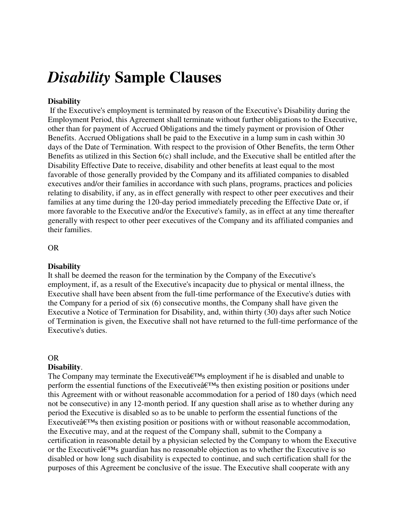# *Disability* **Sample Clauses**

# **Disability**

 If the Executive's employment is terminated by reason of the Executive's Disability during the Employment Period, this Agreement shall terminate without further obligations to the Executive, other than for payment of Accrued Obligations and the timely payment or provision of Other Benefits. Accrued Obligations shall be paid to the Executive in a lump sum in cash within 30 days of the Date of Termination. With respect to the provision of Other Benefits, the term Other Benefits as utilized in this Section 6(c) shall include, and the Executive shall be entitled after the Disability Effective Date to receive, disability and other benefits at least equal to the most favorable of those generally provided by the Company and its affiliated companies to disabled executives and/or their families in accordance with such plans, programs, practices and policies relating to disability, if any, as in effect generally with respect to other peer executives and their families at any time during the 120-day period immediately preceding the Effective Date or, if more favorable to the Executive and/or the Executive's family, as in effect at any time thereafter generally with respect to other peer executives of the Company and its affiliated companies and their families.

## OR

## **Disability**

It shall be deemed the reason for the termination by the Company of the Executive's employment, if, as a result of the Executive's incapacity due to physical or mental illness, the Executive shall have been absent from the full-time performance of the Executive's duties with the Company for a period of six (6) consecutive months, the Company shall have given the Executive a Notice of Termination for Disability, and, within thirty (30) days after such Notice of Termination is given, the Executive shall not have returned to the full-time performance of the Executive's duties.

## OR

## **Disability**.

The Company may terminate the Executive $\hat{a} \in \mathbb{R}^N$ s employment if he is disabled and unable to perform the essential functions of the Executive $\hat{\mathbf{a}} \in \mathbb{R}^N$  then existing position or positions under this Agreement with or without reasonable accommodation for a period of 180 days (which need not be consecutive) in any 12-month period. If any question shall arise as to whether during any period the Executive is disabled so as to be unable to perform the essential functions of the Executive $\hat{\mathbf{a}}$  Executive $\hat{\mathbf{a}}$  then existing position or positions with or without reasonable accommodation, the Executive may, and at the request of the Company shall, submit to the Company a certification in reasonable detail by a physician selected by the Company to whom the Executive or the Executive $\hat{\mathbf{a}} \in \mathbb{R}^N$  guardian has no reasonable objection as to whether the Executive is so disabled or how long such disability is expected to continue, and such certification shall for the purposes of this Agreement be conclusive of the issue. The Executive shall cooperate with any